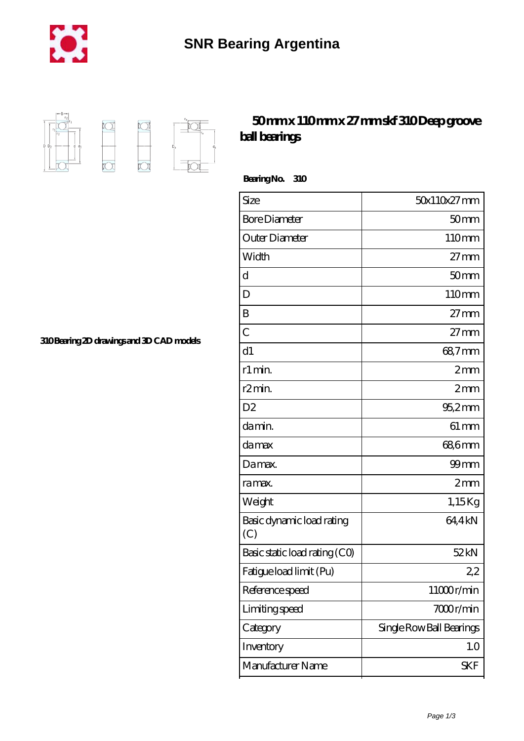



## **[50 mm x 110 mm x 27 mm skf 310 Deep groove](https://m.chilcotinlodge.com/bb-64958708-skf-310-deep-groove-ball-bearings.html) [ball bearings](https://m.chilcotinlodge.com/bb-64958708-skf-310-deep-groove-ball-bearings.html)**

 **Bearing No. 310**

| Size                             | 50x110x27mm              |
|----------------------------------|--------------------------|
| <b>Bore Diameter</b>             | 50 <sub>mm</sub>         |
| Outer Diameter                   | 110mm                    |
| Width                            | $27 \text{mm}$           |
| d                                | 50mm                     |
| D                                | 110mm                    |
| B                                | $27$ mm                  |
| $\overline{C}$                   | $27 \text{mm}$           |
| d1                               | 68,7mm                   |
| r1 min.                          | 2mm                      |
| r <sub>2</sub> min.              | 2mm                      |
| D <sub>2</sub>                   | $95,2$ mm                |
| da min.                          | $61 \,\mathrm{mm}$       |
| da max                           | 68,6mm                   |
| Damax.                           | $99$ mm                  |
| ra max.                          | 2mm                      |
| Weight                           | 1,15Kg                   |
| Basic dynamic load rating<br>(C) | 64,4kN                   |
| Basic static load rating (CO)    | 52kN                     |
| Fatigue load limit (Pu)          | 22                       |
| Reference speed                  | 11000r/min               |
| Limiting speed                   | 7000r/min                |
| Category                         | Single Row Ball Bearings |
| Inventory                        | 1.0                      |
| Manufacturer Name                | <b>SKF</b>               |
|                                  |                          |

**[310 Bearing 2D drawings and 3D CAD models](https://m.chilcotinlodge.com/pic-64958708.html)**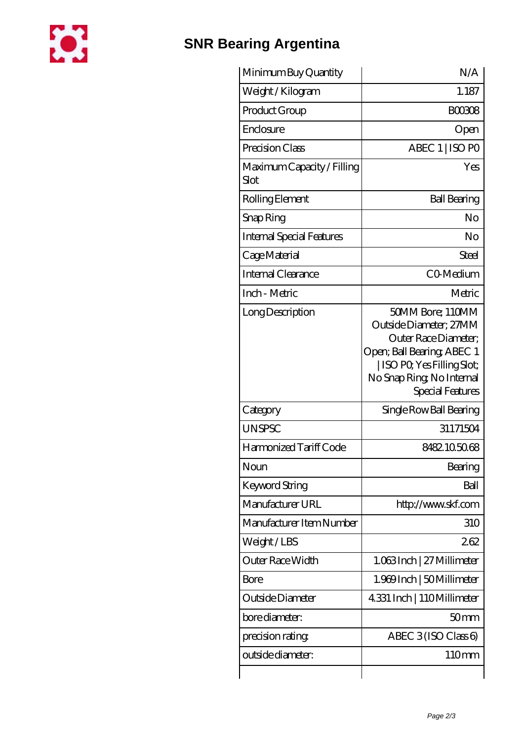

## **[SNR Bearing Argentina](https://m.chilcotinlodge.com)**

| Minimum Buy Quantity               | N/A                                                                                                                                                                            |
|------------------------------------|--------------------------------------------------------------------------------------------------------------------------------------------------------------------------------|
| Weight / Kilogram                  | 1.187                                                                                                                                                                          |
| Product Group                      | <b>BOO308</b>                                                                                                                                                                  |
| Enclosure                          | Open                                                                                                                                                                           |
| Precision Class                    | ABEC 1   ISO PO                                                                                                                                                                |
| Maximum Capacity / Filling<br>Slot | Yes                                                                                                                                                                            |
| Rolling Element                    | <b>Ball Bearing</b>                                                                                                                                                            |
| Snap Ring                          | No                                                                                                                                                                             |
| <b>Internal Special Features</b>   | No                                                                                                                                                                             |
| Cage Material                      | Steel                                                                                                                                                                          |
| Internal Clearance                 | CO-Medium                                                                                                                                                                      |
| Inch - Metric                      | Metric                                                                                                                                                                         |
| Long Description                   | 50MM Bore; 110MM<br>Outside Diameter; 27MM<br>Outer Race Diameter;<br>Open; Ball Bearing; ABEC 1<br>ISO PO, Yes Filling Slot;<br>No Snap Ring, No Internal<br>Special Features |
| Category                           | Single Row Ball Bearing                                                                                                                                                        |
| <b>UNSPSC</b>                      | 31171504                                                                                                                                                                       |
| Harmonized Tariff Code             | 8482105068                                                                                                                                                                     |
| Noun                               | Bearing                                                                                                                                                                        |
| <b>Keyword String</b>              | Ball                                                                                                                                                                           |
| Manufacturer URL                   | http://www.skf.com                                                                                                                                                             |
| Manufacturer Item Number           | 310                                                                                                                                                                            |
| Weight/LBS                         | 262                                                                                                                                                                            |
| Outer Race Width                   | 1.063Inch   27 Millimeter                                                                                                                                                      |
| Bore                               | 1.969 Inch   50 Millimeter                                                                                                                                                     |
| Outside Diameter                   | 4.331 Inch   110Millimeter                                                                                                                                                     |
| bore diameter:                     | 50 <sub>mm</sub>                                                                                                                                                               |
| precision rating                   | ABEC $3$ (ISO Class 6)                                                                                                                                                         |
| outside diameter:                  | 110mm                                                                                                                                                                          |
|                                    |                                                                                                                                                                                |